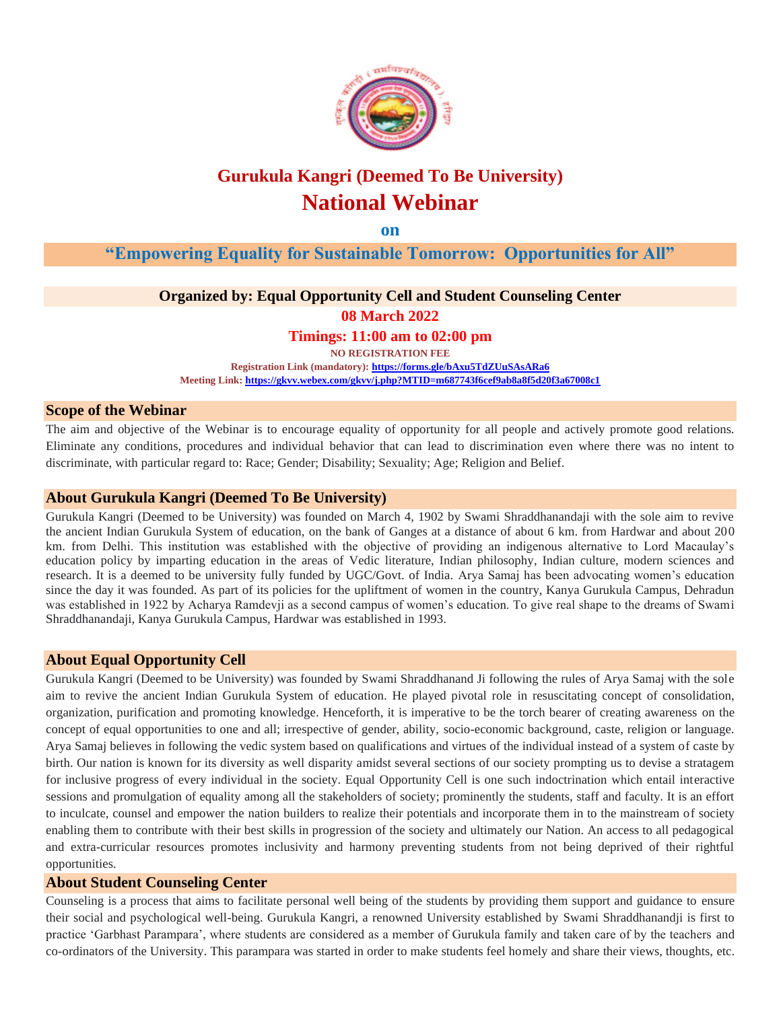

# **Gurukula Kangri (Deemed To Be University) National Webinar**

**on**

**"Empowering Equality for Sustainable Tomorrow: Opportunities for All"**

## **Organized by: Equal Opportunity Cell and Student Counseling Center**

**08 March 2022**

**Timings: 11:00 am to 02:00 pm**

**NO REGISTRATION FEE Registration Link (mandatory)[: https://forms.gle/bAxu5TdZUuSAsARa6](https://forms.gle/bAxu5TdZUuSAsARa6)** 

**Meeting Link[: https://gkvv.webex.com/gkvv/j.php?MTID=m687743f6cef9ab8a8f5d20f3a67008c1](https://gkvv.webex.com/gkvv/j.php?MTID=m687743f6cef9ab8a8f5d20f3a67008c1)**

#### **Scope of the Webinar**

The aim and objective of the Webinar is to encourage equality of opportunity for all people and actively promote good relations. Eliminate any conditions, procedures and individual behavior that can lead to discrimination even where there was no intent to discriminate, with particular regard to: Race; Gender; Disability; Sexuality; Age; Religion and Belief.

## **About Gurukula Kangri (Deemed To Be University)**

Gurukula Kangri (Deemed to be University) was founded on March 4, 1902 by Swami Shraddhanandaji with the sole aim to revive the ancient Indian Gurukula System of education, on the bank of Ganges at a distance of about 6 km. from Hardwar and about 200 km. from Delhi. This institution was established with the objective of providing an indigenous alternative to Lord Macaulay's education policy by imparting education in the areas of Vedic literature, Indian philosophy, Indian culture, modern sciences and research. It is a deemed to be university fully funded by UGC/Govt. of India. Arya Samaj has been advocating women's education since the day it was founded. As part of its policies for the upliftment of women in the country, Kanya Gurukula Campus, Dehradun was established in 1922 by Acharya Ramdevji as a second campus of women's education. To give real shape to the dreams of Swami Shraddhanandaji, Kanya Gurukula Campus, Hardwar was established in 1993.

#### **About Equal Opportunity Cell**

Gurukula Kangri (Deemed to be University) was founded by Swami Shraddhanand Ji following the rules of Arya Samaj with the sole aim to revive the ancient Indian Gurukula System of education. He played pivotal role in resuscitating concept of consolidation, organization, purification and promoting knowledge. Henceforth, it is imperative to be the torch bearer of creating awareness on the concept of equal opportunities to one and all; irrespective of gender, ability, socio-economic background, caste, religion or language. Arya Samaj believes in following the vedic system based on qualifications and virtues of the individual instead of a system of caste by birth. Our nation is known for its diversity as well disparity amidst several sections of our society prompting us to devise a stratagem for inclusive progress of every individual in the society. Equal Opportunity Cell is one such indoctrination which entail interactive sessions and promulgation of equality among all the stakeholders of society; prominently the students, staff and faculty. It is an effort to inculcate, counsel and empower the nation builders to realize their potentials and incorporate them in to the mainstream of society enabling them to contribute with their best skills in progression of the society and ultimately our Nation. An access to all pedagogical and extra-curricular resources promotes inclusivity and harmony preventing students from not being deprived of their rightful opportunities.

## **About Student Counseling Center**

Counseling is a process that aims to facilitate personal well being of the students by providing them support and guidance to ensure their social and psychological well-being. Gurukula Kangri, a renowned University established by Swami Shraddhanandji is first to practice 'Garbhast Parampara', where students are considered as a member of Gurukula family and taken care of by the teachers and co-ordinators of the University. This parampara was started in order to make students feel homely and share their views, thoughts, etc.